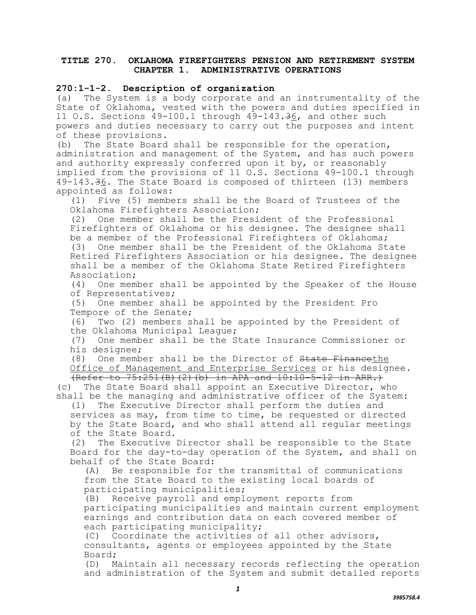## **TITLE 270. OKLAHOMA FIREFIGHTERS PENSION AND RETIREMENT SYSTEM CHAPTER 1. ADMINISTRATIVE OPERATIONS**

## **270:1-1-2. Description of organization**

(a) The System is a body corporate and an instrumentality of the State of Oklahoma, vested with the powers and duties specified in 11 O.S. Sections 49-100.1 through 49-143.36, and other such powers and duties necessary to carry out the purposes and intent of these provisions.

(b) The State Board shall be responsible for the operation, administration and management of the System, and has such powers and authority expressly conferred upon it by, or reasonably implied from the provisions of 11 O.S. Sections 49-100.1 through 49-143.36. The State Board is composed of thirteen (13) members appointed as follows:

(1) Five (5) members shall be the Board of Trustees of the Oklahoma Firefighters Association;

(2) One member shall be the President of the Professional Firefighters of Oklahoma or his designee. The designee shall be a member of the Professional Firefighters of Oklahoma; (3) One member shall be the President of the Oklahoma State Retired Firefighters Association or his designee. The designee shall be a member of the Oklahoma State Retired Firefighters Association;

(4) One member shall be appointed by the Speaker of the House of Representatives;

(5) One member shall be appointed by the President Pro Tempore of the Senate;

(6) Two (2) members shall be appointed by the President of the Oklahoma Municipal League;

(7) One member shall be the State Insurance Commissioner or his designee;

(8) One member shall be the Director of State Financethe Office of Management and Enterprise Services or his designee.

(Refer to 75:251(B)(2)(b) in APA and 10:10-5-12 in ARR.) (c) The State Board shall appoint an Executive Director, who shall be the managing and administrative officer of the System:

(1) The Executive Director shall perform the duties and services as may, from time to time, be requested or directed by the State Board, and who shall attend all regular meetings of the State Board.

(2) The Executive Director shall be responsible to the State Board for the day-to-day operation of the System, and shall on behalf of the State Board:

(A) Be responsible for the transmittal of communications from the State Board to the existing local boards of participating municipalities;

(B) Receive payroll and employment reports from participating municipalities and maintain current employment earnings and contribution data on each covered member of each participating municipality;

(C) Coordinate the activities of all other advisors, consultants, agents or employees appointed by the State Board;

(D) Maintain all necessary records reflecting the operation and administration of the System and submit detailed reports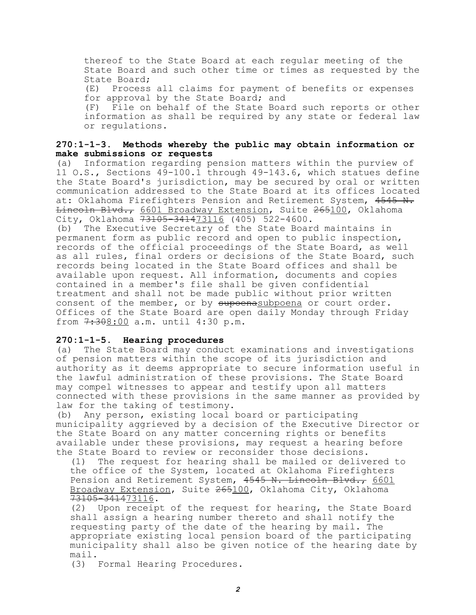thereof to the State Board at each regular meeting of the State Board and such other time or times as requested by the State Board; (E) Process all claims for payment of benefits or expenses for approval by the State Board; and (F) File on behalf of the State Board such reports or other information as shall be required by any state or federal law or regulations.

## **270:1-1-3. Methods whereby the public may obtain information or make submissions or requests**

(a) Information regarding pension matters within the purview of 11 O.S., Sections 49-100.1 through 49-143.6, which statues define the State Board's jurisdiction, may be secured by oral or written communication addressed to the State Board at its offices located at: Oklahoma Firefighters Pension and Retirement System, 4545 N. Lincoln Blvd., 6601 Broadway Extension, Suite 265100, Oklahoma City, Oklahoma 73105-341473116 (405) 522-4600.

(b) The Executive Secretary of the State Board maintains in permanent form as public record and open to public inspection, records of the official proceedings of the State Board, as well as all rules, final orders or decisions of the State Board, such records being located in the State Board offices and shall be available upon request. All information, documents and copies contained in a member's file shall be given confidential treatment and shall not be made public without prior written consent of the member, or by supoenasubpoena or court order. Offices of the State Board are open daily Monday through Friday from  $7:308:00$  a.m. until 4:30 p.m.

## **270:1-1-5. Hearing procedures**

(a) The State Board may conduct examinations and investigations of pension matters within the scope of its jurisdiction and authority as it deems appropriate to secure information useful in the lawful administration of these provisions. The State Board may compel witnesses to appear and testify upon all matters connected with these provisions in the same manner as provided by law for the taking of testimony.

(b) Any person, existing local board or participating municipality aggrieved by a decision of the Executive Director or the State Board on any matter concerning rights or benefits available under these provisions, may request a hearing before the State Board to review or reconsider those decisions.

(1) The request for hearing shall be mailed or delivered to the office of the System, located at Oklahoma Firefighters Pension and Retirement System, 4545 N. Lincoln Blvd., 6601 Broadway Extension, Suite 265100, Oklahoma City, Oklahoma 73105-341473116.

(2) Upon receipt of the request for hearing, the State Board shall assign a hearing number thereto and shall notify the requesting party of the date of the hearing by mail. The appropriate existing local pension board of the participating municipality shall also be given notice of the hearing date by mail.

(3) Formal Hearing Procedures.